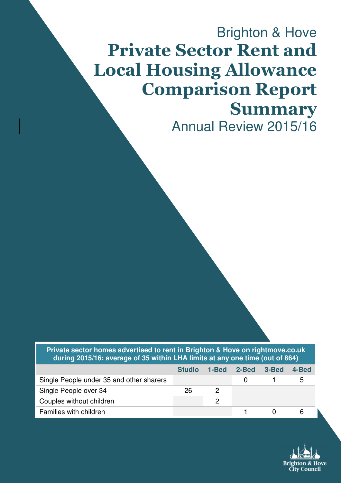# Brighton & Hove Private Sector Rent and Local Housing Allowance Comparison Report Summary Annual Review 2015/16

**Private sector homes advertised to rent in Brighton & Hove on rightmove.co.uk during 2015/16: average of 35 within LHA limits at any one time (out of 864)** 

|                                          | <b>Studio</b> | 1-Bed 2-Bed 3-Bed | 4-Bed |
|------------------------------------------|---------------|-------------------|-------|
| Single People under 35 and other sharers |               |                   |       |
| Single People over 34                    | 26            |                   |       |
| Couples without children                 |               |                   |       |
| Families with children                   |               |                   |       |

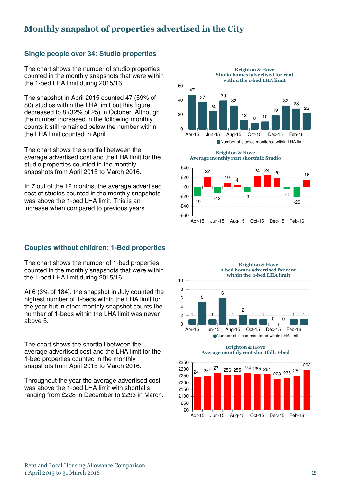## Monthly snapshot of properties advertised in the City

#### **Single people over 34: Studio properties**

The chart shows the number of studio properties counted in the monthly snapshots that were within the 1-bed LHA limit during 2015/16.

The snapshot in April 2015 counted 47 (59% of 80) studios within the LHA limit but this figure decreased to 8 (32% of 25) in October. Although the number increased in the following monthly counts it still remained below the number within the LHA limit counted in April.

The chart shows the shortfall between the average advertised cost and the LHA limit for the studio properties counted in the monthly snapshots from April 2015 to March 2016.

In 7 out of the 12 months, the average advertised cost of studios counted in the monthly snapshots was above the 1-bed LHA limit. This is an increase when compared to previous years.

#### **Couples without children: 1-Bed properties**

The chart shows the number of 1-bed properties counted in the monthly snapshots that were within the 1-bed LHA limit during 2015/16.

At 6 (3% of 184), the snapshot in July counted the highest number of 1-beds within the LHA limit for the year but in other monthly snapshot counts the number of 1-beds within the LHA limit was never above 5.

The chart shows the shortfall between the average advertised cost and the LHA limit for the 1-bed properties counted in the monthly snapshots from April 2015 to March 2016.

Throughout the year the average advertised cost was above the 1-bed LHA limit with shortfalls ranging from £228 in December to £293 in March.



Brighton & Hove Average monthly rent shortfall: Studio





Brighton & Hove Average monthly rent shortfall: 1-bed

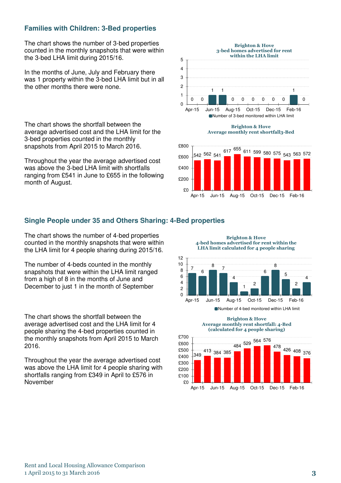#### **Families with Children: 3-Bed properties**

The chart shows the number of 3-bed properties counted in the monthly snapshots that were within the 3-bed LHA limit during 2015/16.

In the months of June, July and February there was 1 property within the 3-bed LHA limit but in all the other months there were none.

The chart shows the shortfall between the average advertised cost and the LHA limit for the 3-bed properties counted in the monthly snapshots from April 2015 to March 2016.

Throughout the year the average advertised cost was above the 3-bed LHA limit with shortfalls ranging from £541 in June to £655 in the following month of August.



 $$0$ £200 Apr-15 Jun-15 Aug-15 Oct-15 Dec-15 Feb-16

#### **Single People under 35 and Others Sharing: 4-Bed properties**

The chart shows the number of 4-bed properties counted in the monthly snapshots that were within the LHA limit for 4 people sharing during 2015/16.

The number of 4-beds counted in the monthly snapshots that were within the LHA limit ranged from a high of 8 in the months of June and December to just 1 in the month of September

The chart shows the shortfall between the average advertised cost and the LHA limit for 4 people sharing the 4-bed properties counted in the monthly snapshots from April 2015 to March 2016.

Throughout the year the average advertised cost was above the LHA limit for 4 people sharing with shortfalls ranging from £349 in April to £576 in November

7 6 8 7 4 1 2 6 8 5 2 4  $\Omega$ 2 4 6 8 10 12 Apr-15 Jun-15 Aug-15 Oct-15 Dec-15 Feb-16 Brighton & Hove 4-bed homes advertised for rent within the LHA limit calculated for 4 people sharing

■Number of 4-bed monitored within LHA limit

Brighton & Hove Average monthly rent shortfall: 4-Bed (calculated for 4 people sharing)



Rent and Local Housing Allowance Comparison 1 April 2015 to 31 March 2016 3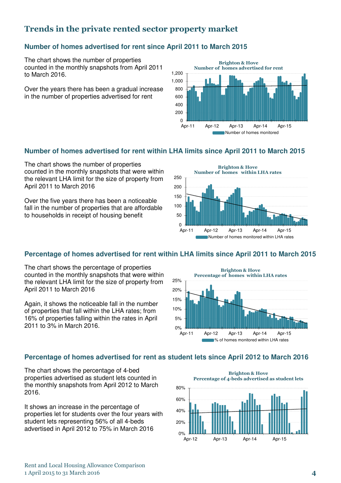## Trends in the private rented sector property market

#### **Number of homes advertised for rent since April 2011 to March 2015**

The chart shows the number of properties counted in the monthly snapshots from April 2011 to March 2016.

Over the years there has been a gradual increase in the number of properties advertised for rent



#### **Number of homes advertised for rent within LHA limits since April 2011 to March 2015**

The chart shows the number of properties counted in the monthly snapshots that were within the relevant LHA limit for the size of property from April 2011 to March 2016

Over the five years there has been a noticeable fall in the number of properties that are affordable to households in receipt of housing benefit



#### **Percentage of homes advertised for rent within LHA limits since April 2011 to March 2015**

The chart shows the percentage of properties counted in the monthly snapshots that were within the relevant LHA limit for the size of property from April 2011 to March 2016

Again, it shows the noticeable fall in the number of properties that fall within the LHA rates; from 16% of properties falling within the rates in April 2011 to 3% in March 2016.



#### **Percentage of homes advertised for rent as student lets since April 2012 to March 2016**

The chart shows the percentage of 4-bed properties advertised as student lets counted in the monthly snapshots from April 2012 to March 2016.

It shows an increase in the percentage of properties let for students over the four years with student lets representing 56% of all 4-beds advertised in April 2012 to 75% in March 2016

 $0%$ 20% 40% 60% 80% Brighton & Hove Percentage of 4-beds advertised as student lets

Apr-12 Apr-13 Apr-14 Apr-15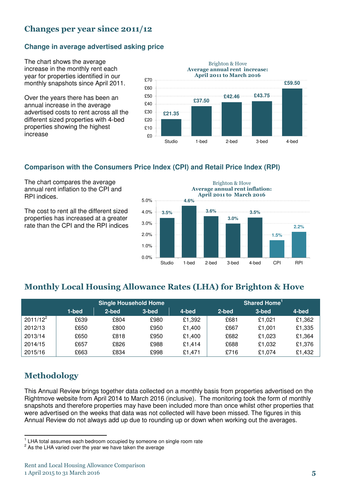## Changes per year since 2011/12

#### **Change in average advertised asking price**

The chart shows the average increase in the monthly rent each year for properties identified in our monthly snapshots since April 2011.

Over the years there has been an annual increase in the average advertised costs to rent across all the different sized properties with 4-bed properties showing the highest increase



#### **Comparison with the Consumers Price Index (CPI) and Retail Price Index (RPI)**

The chart compares the average annual rent inflation to the CPI and RPI indices.

The cost to rent all the different sized properties has increased at a greater rate than the CPI and the RPI indices

**3.5% 4.6% 3.6% 3.0% 3.5% 1.5% 2.2%** 0.0% 1.0% 2.0% 3.0% 4.0% 5.0% Studio 1-bed 2-bed 3-bed 4-bed CPI RPI Brighton & Hove Average annual rent inflation: April 2011 to March 2016

## Monthly Local Housing Allowance Rates (LHA) for Brighton & Hove

|             | <b>Single Household Home</b> |       |       |        | Shared Home <sup>1</sup> |        |        |  |
|-------------|------------------------------|-------|-------|--------|--------------------------|--------|--------|--|
|             | 1-bed                        | 2-bed | 3-bed | 4-bed  | 2-bed                    | 3-bed  | 4-bed  |  |
| $2011/12^2$ | £639                         | £804  | £980  | £1,392 | £681                     | £1.021 | £1,362 |  |
| 2012/13     | £650                         | £800  | £950  | £1.400 | £667                     | £1.001 | £1,335 |  |
| 2013/14     | £650                         | £818  | £950  | £1.400 | £682                     | £1.023 | £1,364 |  |
| 2014/15     | £657                         | £826  | £988  | £1,414 | £688                     | £1,032 | £1,376 |  |
| 2015/16     | £663                         | £834  | £998  | £1.471 | £716                     | £1.074 | £1,432 |  |

## Methodology

This Annual Review brings together data collected on a monthly basis from properties advertised on the Rightmove website from April 2014 to March 2016 (inclusive). The monitoring took the form of monthly snapshots and therefore properties may have been included more than once whilst other properties that were advertised on the weeks that data was not collected will have been missed. The figures in this Annual Review do not always add up due to rounding up or down when working out the averages.

 1 LHA total assumes each bedroom occupied by someone on single room rate

 $2$  As the LHA varied over the year we have taken the average